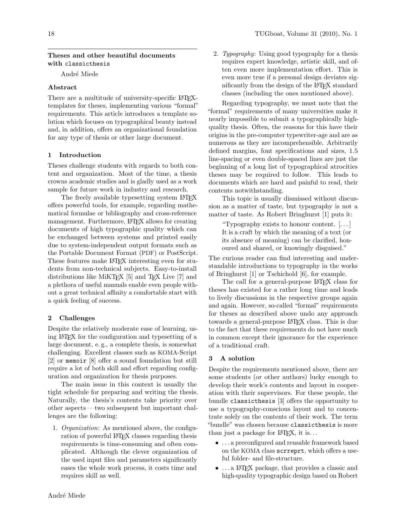#### Theses and other beautiful documents with classicthesis

André Miede

### Abstract

There are a multitude of university-specific LAT<sub>EX</sub>templates for theses, implementing various "formal" requirements. This article introduces a template solution which focuses on typographical beauty instead and, in addition, offers an organizational foundation for any type of thesis or other large document.

## 1 Introduction

Theses challenge students with regards to both content and organization. Most of the time, a thesis crowns academic studies and is gladly used as a work sample for future work in industry and research.

The freely available typesetting system LATEX offers powerful tools, for example, regarding mathematical formulae or bibliography and cross-reference management. Furthermore, LAT<sub>EX</sub> allows for creating documents of high typographic quality which can be exchanged between systems and printed easily due to system-independent output formats such as the Portable Document Format (PDF) or PostScript. These features make LAT<sub>F</sub>X interesting even for students from non-technical subjects. Easy-to-install distributions like MiKT<sub>E</sub>X  $[5]$  and T<sub>E</sub>X Live  $[7]$  and a plethora of useful manuals enable even people without a great technical affinity a comfortable start with a quick feeling of success.

# 2 Challenges

Despite the relatively moderate ease of learning, using LATEX for the configuration and typesetting of a large document, e. g., a complete thesis, is somewhat challenging. Excellent classes such as KOMA-Script [\[2\]](#page-1-2) or memoir [\[8\]](#page-1-3) offer a sound foundation but still require a lot of both skill and effort regarding configuration and organization for thesis purposes.

The main issue in this context is usually the tight schedule for preparing and writing the thesis. Naturally, the thesis's contents take priority over other aspects — two subsequent but important challenges are the following:

1. Organization: As mentioned above, the configuration of powerful LAT<sub>EX</sub> classes regarding thesis requirements is time-consuming and often complicated. Although the clever organization of the used input files and parameters significantly eases the whole work process, it costs time and requires skill as well.

2. Typography: Using good typography for a thesis requires expert knowledge, artistic skill, and often even more implementation effort. This is even more true if a personal design deviates significantly from the design of the LAT<sub>EX</sub> standard classes (including the ones mentioned above).

Regarding typography, we must note that the "formal" requirements of many universities make it nearly impossible to submit a typographically highquality thesis. Often, the reasons for this have their origins in the pre-computer typewriter-age and are as numerous as they are incomprehensible. Arbitrarily defined margins, font specifications and sizes, 1.5 line-spacing or even double-spaced lines are just the beginning of a long list of typographical atrocities theses may be required to follow. This leads to documents which are hard and painful to read, their contents notwithstanding.

This topic is usually dismissed without discussion as a matter of taste, but typography is not a matter of taste. As Robert Bringhurst [\[1\]](#page-1-4) puts it:

"Typography exists to honour content. [. . . ] It is a craft by which the meaning of a text (or its absence of meaning) can be clarified, honoured and shared, or knowingly disguised."

The curious reader can find interesting and understandable introductions to typography in the works of Bringhurst [\[1\]](#page-1-4) or Tschichold [\[6\]](#page-1-5), for example.

The call for a general-purpose LAT<sub>EX</sub> class for theses has existed for a rather long time and leads to lively discussions in the respective groups again and again. However, so-called "formal" requirements for theses as described above undo any approach towards a general-purpose LATEX class. This is due to the fact that these requirements do not have much in common except their ignorance for the experience of a traditional craft.

# 3 A solution

Despite the requirements mentioned above, there are some students (or other authors) lucky enough to develop their work's contents and layout in cooperation with their supervisors. For these people, the bundle classicthesis [\[3\]](#page-1-6) offers the opportunity to use a typography-conscious layout and to concentrate solely on the contents of their work. The term "bundle" was chosen because classicthesis is more than just a package for  $\text{LATEX}$ , it is...

- . . . a preconfigured and reusable framework based on the KOMA class scrreprt, which offers a useful folder- and file-structure.
- ... a LAT<sub>F</sub>X package, that provides a classic and high-quality typographic design based on Robert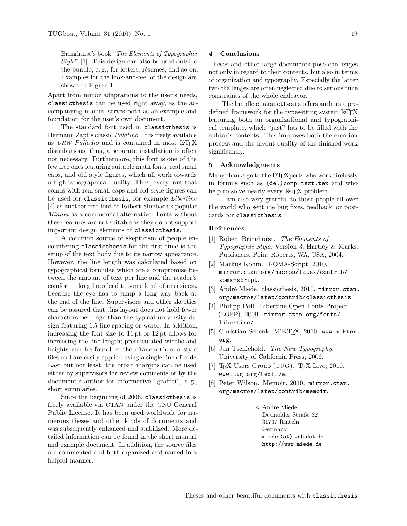Bringhurst's book "The Elements of Typographic Style" [\[1\]](#page-1-4). This design can also be used outside the bundle, e.g., for letters, résumés, and so on. Examples for the look-and-feel of the design are shown in [Figure 1.](#page-2-0)

Apart from minor adaptations to the user's needs, classicthesis can be used right away, as the accompanying manual serves both as an example and foundation for the user's own document.

The standard font used in classicthesis is Hermann Zapf's classic Palatino. It is freely available as URW Palladio and is contained in most IATEX distributions, thus, a separate installation is often not necessary. Furthermore, this font is one of the few free ones featuring suitable math fonts, real small caps, and old style figures, which all work towards a high typographical quality. Thus, every font that comes with real small caps and old style figures can be used for classicthesis, for example Libertine [\[4\]](#page-1-7) as another free font or Robert Slimbach's popular Minion as a commercial alternative. Fonts without these features are not suitable as they do not support important design elements of classicthesis.

A common source of skepticism of people encountering classicthesis for the first time is the setup of the text body due to its narrow appearance. However, the line length was calculated based on typographical formulae which are a compromise between the amount of text per line and the reader's comfort — long lines lead to some kind of uneasiness, because the eye has to jump a long way back at the end of the line. Supervisors and other skeptics can be assured that this layout does not hold fewer characters per page than the typical university design featuring 1.5 line-spacing or worse. In addition, increasing the font size to 11 pt or 12 pt allows for increasing the line length; precalculated widths and heights can be found in the classicthesis style files and are easily applied using a single line of code. Last but not least, the broad margins can be used either by supervisors for review comments or by the document's author for informative "graffiti", e. g., short summaries.

Since the beginning of 2006, classicthesis is freely available via CTAN under the GNU General Public License. It has been used worldwide for numerous theses and other kinds of documents and was subsequently enhanced and stabilized. More detailed information can be found in the short manual and example document. In addition, the source files are commented and both organized and named in a helpful manner.

#### 4 Conclusions

Theses and other large documents pose challenges not only in regard to their contents, but also in terms of organization and typography. Especially the latter two challenges are often neglected due to serious time constraints of the whole endeavor.

The bundle classicthesis offers authors a predefined framework for the typesetting system LAT<sub>EX</sub> featuring both an organizational and typographical template, which "just" has to be filled with the auhtor's contents. This improves both the creation process and the layout quality of the finished work significantly.

### 5 Acknowledgments

Many thanks go to the LAT<sub>E</sub>X perts who work tirelessly in forums such as (de.)comp.text.tex and who help to solve nearly every LAT<sub>EX</sub> problem.

I am also very grateful to those people all over the world who sent me bug fixes, feedback, or postcards for classicthesis.

### References

- <span id="page-1-4"></span>[1] Robert Bringhurst. The Elements of Typographic Style. Version 3. Hartley & Marks, Publishers, Point Roberts, WA, USA, 2004.
- <span id="page-1-2"></span>[2] Markus Kohm. KOMA-Script, 2010. [mirror.ctan.org/macros/latex/contrib/](mirror.ctan.org/macros/latex/contrib/koma-script) [koma-script](mirror.ctan.org/macros/latex/contrib/koma-script).
- <span id="page-1-6"></span>[3] André Miede. classicthesis, 2010. [mirror.ctan.](mirror.ctan.org/macros/latex/contrib/classicthesis) [org/macros/latex/contrib/classicthesis](mirror.ctan.org/macros/latex/contrib/classicthesis).
- <span id="page-1-7"></span>[4] Philipp Poll. Libertine Open Fonts Project (LOFP), 2009. [mirror.ctan.org/fonts/](mirror.ctan.org/fonts/libertine/) [libertine/](mirror.ctan.org/fonts/libertine/).
- <span id="page-1-0"></span>[5] Christian Schenk. MiKTEX, 2010. [www.miktex.](www.miktex.org) [org](www.miktex.org).
- <span id="page-1-5"></span>[6] Jan Tschichold. The New Typography. University of California Press, 2006.
- <span id="page-1-1"></span>[7] T<sub>F</sub>X Users Group (TUG). T<sub>F</sub>X Live, 2010. <www.tug.org/texlive>.
- <span id="page-1-3"></span>[8] Peter Wilson. Memoir, 2010. [mirror.ctan.](mirror.ctan.org/macros/latex/contrib/memoir) [org/macros/latex/contrib/memoir](mirror.ctan.org/macros/latex/contrib/memoir).
	- $\diamond$  André Miede Detmolder Straße 32 31737 Rinteln Germany miede (at) web dot de http://www.miede.de